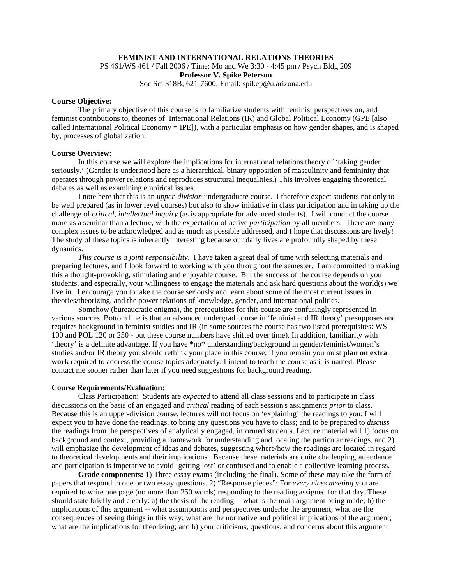### **FEMINIST AND INTERNATIONAL RELATIONS THEORIES**

PS 461/WS 461 / Fall 2006 / Time: Mo and We 3:30 - 4:45 pm / Psych Bldg 209

**Professor V. Spike Peterson**

Soc Sci 318B; 621-7600; Email: spikep@u.arizona.edu

## **Course Objective:**

 The primary objective of this course is to familiarize students with feminist perspectives on, and feminist contributions to, theories of International Relations (IR) and Global Political Economy (GPE [also called International Political Economy = IPE]), with a particular emphasis on how gender shapes, and is shaped by, processes of globalization.

### **Course Overview:**

 In this course we will explore the implications for international relations theory of 'taking gender seriously.' (Gender is understood here as a hierarchical, binary opposition of masculinity and femininity that operates through power relations and reproduces structural inequalities.) This involves engaging theoretical debates as well as examining empirical issues.

 I note here that this is an *upper-division* undergraduate course. I therefore expect students not only to be well prepared (as in lower level courses) but also to show initiative in class participation and in taking up the challenge of *critical, intellectual inquiry* (as is appropriate for advanced students). I will conduct the course more as a seminar than a lecture, with the expectation of active *participation* by all members. There are many complex issues to be acknowledged and as much as possible addressed, and I hope that discussions are lively! The study of these topics is inherently interesting because our daily lives are profoundly shaped by these dynamics.

 *This course is a joint responsibility*. I have taken a great deal of time with selecting materials and preparing lectures, and I look forward to working with you throughout the semester. I am committed to making this a thought-provoking, stimulating and enjoyable course. But the success of the course depends on you students, and especially, your willingness to engage the materials and ask hard questions about the world(s) we live in. I encourage you to take the course seriously and learn about some of the most current issues in theories/theorizing, and the power relations of knowledge, gender, and international politics.

 Somehow (bureaucratic enigma), the prerequisites for this course are confusingly represented in various sources. Bottom line is that an advanced undergrad course in 'feminist and IR theory' presupposes and requires background in feminist studies and IR (in some sources the course has two listed prerequisites: WS 100 and POL 120 or 250 - but these course numbers have shifted over time). In addition, familiarity with 'theory' is a definite advantage. If you have \*no\* understanding/background in gender/feminist/women's studies and/or IR theory you should rethink your place in this course; if you remain you must **plan on extra work** required to address the course topics adequately. I intend to teach the course as it is named. Please contact me sooner rather than later if you need suggestions for background reading.

## **Course Requirements/Evaluation:**

 Class Participation: Students are *expected* to attend all class sessions and to participate in class discussions on the basis of an engaged and *critical* reading of each session's assignments *prior* to class. Because this is an upper-division course, lectures will not focus on 'explaining' the readings to you; I will expect you to have done the readings, to bring any questions you have to class; and to be prepared to *discuss*  the readings from the perspectives of analytically engaged, informed students. Lecture material will 1) focus on background and context, providing a framework for understanding and locating the particular readings, and 2) will emphasize the development of ideas and debates, suggesting where/how the readings are located in regard to theoretical developments and their implications. Because these materials are quite challenging, attendance and participation is imperative to avoid 'getting lost' or confused and to enable a collective learning process.

**Grade components:** 1) Three essay exams (including the final). Some of these may take the form of papers that respond to one or two essay questions. 2) "Response pieces": For *every class meeting* you are required to write one page (no more than 250 words) responding to the reading assigned for that day. These should state briefly and clearly: a) the thesis of the reading -- what is the main argument being made; b) the implications of this argument -- what assumptions and perspectives underlie the argument; what are the consequences of seeing things in this way; what are the normative and political implications of the argument; what are the implications for theorizing; and b) your criticisms, questions, and concerns about this argument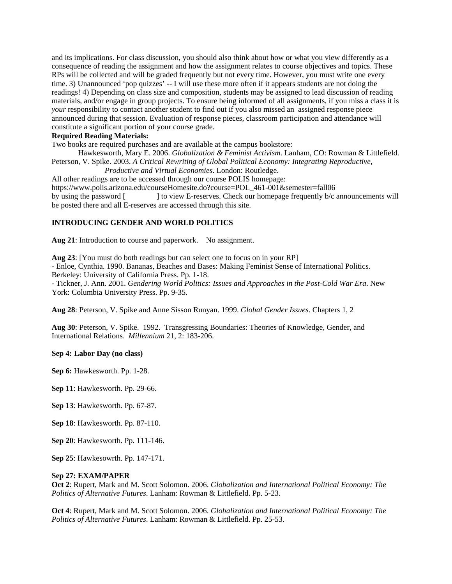and its implications. For class discussion, you should also think about how or what you view differently as a consequence of reading the assignment and how the assignment relates to course objectives and topics. These RPs will be collected and will be graded frequently but not every time. However, you must write one every time. 3) Unannounced 'pop quizzes' -- I will use these more often if it appears students are not doing the readings! 4) Depending on class size and composition, students may be assigned to lead discussion of reading materials, and/or engage in group projects. To ensure being informed of all assignments, if you miss a class it is *your* responsibility to contact another student to find out if you also missed an assigned response piece announced during that session. Evaluation of response pieces, classroom participation and attendance will constitute a significant portion of your course grade.

# **Required Reading Materials:**

Two books are required purchases and are available at the campus bookstore:

 Hawkesworth, Mary E. 2006. *Globalization & Feminist Activism*. Lanham, CO: Rowman & Littlefield. Peterson, V. Spike. 2003. *A Critical Rewriting of Global Political Economy: Integrating Reproductive,* 

*Productive and Virtual Economies*. London: Routledge. All other readings are to be accessed through our course POLIS homepage:

https://www.polis.arizona.edu/courseHomesite.do?course=POL\_461-001&semester=fall06 by using the password [ ] to view E-reserves. Check our homepage frequently b/c announcements will be posted there and all E-reserves are accessed through this site.

# **INTRODUCING GENDER AND WORLD POLITICS**

**Aug 21**: Introduction to course and paperwork. No assignment.

**Aug 23**: [You must do both readings but can select one to focus on in your RP]

- Enloe, Cynthia. 1990. Bananas, Beaches and Bases: Making Feminist Sense of International Politics.

Berkeley: University of California Press. Pp. 1-18.

- Tickner, J. Ann. 2001. *Gendering World Politics: Issues and Approaches in the Post-Cold War Era*. New York: Columbia University Press. Pp. 9-35.

**Aug 28**: Peterson, V. Spike and Anne Sisson Runyan. 1999. *Global Gender Issues*. Chapters 1, 2

**Aug 30**: Peterson, V. Spike. 1992. Transgressing Boundaries: Theories of Knowledge, Gender, and International Relations. *Millennium* 21, 2: 183-206.

# **Sep 4: Labor Day (no class)**

**Sep 6:** Hawkesworth. Pp. 1-28.

**Sep 11**: Hawkesworth. Pp. 29-66.

**Sep 13**: Hawkesworth. Pp. 67-87.

**Sep 18**: Hawkesworth. Pp. 87-110.

**Sep 20**: Hawkesworth. Pp. 111-146.

**Sep 25**: Hawkesowrth. Pp. 147-171.

### **Sep 27: EXAM/PAPER**

**Oct 2**: Rupert, Mark and M. Scott Solomon. 2006. *Globalization and International Political Economy: The Politics of Alternative Futures*. Lanham: Rowman & Littlefield. Pp. 5-23.

**Oct 4**: Rupert, Mark and M. Scott Solomon. 2006. *Globalization and International Political Economy: The Politics of Alternative Futures*. Lanham: Rowman & Littlefield. Pp. 25-53.